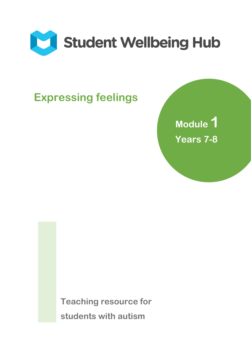

# **Expressing feelings**

**Module 1 Years 7-8** 

**Teaching resource for students with autism**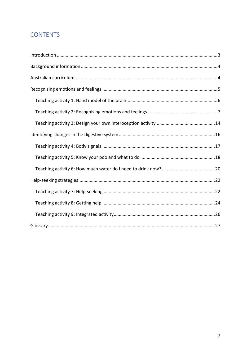## **CONTENTS**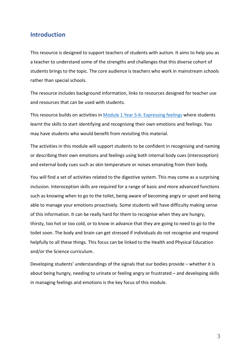#### <span id="page-2-0"></span>**Introduction**

This resource is designed to support teachers of students with autism. It aims to help you as a teacher to understand some of the strengths and challenges that this diverse cohort of students brings to the topic. The core audience is teachers who work in mainstream schools rather than special schools.

The resource includes background information, links to resources designed for teacher use and resources that can be used with students.

This resource builds on activities in Module 1 [Year 5-6: Expressing feelings](https://studentwellbeinghub.edu.au/media/10643/mod-1-yr-5-6-expressing-feelings.pdf) where students learnt the skills to start identifying and recognising their own emotions and feelings. You may have students who would benefit from revisiting this material.

The activities in this module will support students to be confident in recognising and naming or describing their own emotions and feelings using both internal body cues (interoception) and external body cues such as skin temperature or noises emanating from their body.

You will find a set of activities related to the digestive system. This may come as a surprising inclusion. Interoception skills are required for a range of basic and more advanced functions such as knowing when to go to the toilet, being aware of becoming angry or upset and being able to manage your emotions proactively. Some students will have difficulty making sense of this information. It can be really hard for them to recognise when they are hungry, thirsty, too hot or too cold, or to know in advance that they are going to need to go to the toilet soon. The body and brain can get stressed if individuals do not recognise and respond helpfully to all these things. This focus can be linked to the Health and Physical Education and/or the Science curriculum.

Developing students' understandings of the signals that our bodies provide – whether it is about being hungry, needing to urinate or feeling angry or frustrated – and developing skills in managing feelings and emotions is the key focus of this module.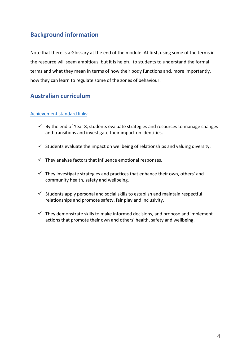## <span id="page-3-0"></span>**Background information**

Note that there is a Glossary at the end of the module. At first, using some of the terms in the resource will seem ambitious, but it is helpful to students to understand the formal terms and what they mean in terms of how their body functions and, more importantly, how they can learn to regulate some of the zones of behaviour.

## <span id="page-3-1"></span>**Australian curriculum**

#### Achievement [standard links:](http://www.acara.edu.au/verve/_resources/Achievement_on_a_Page_Year_7.pdf)

- $\checkmark$  By the end of Year 8, students evaluate strategies and resources to manage changes and transitions and investigate their impact on identities.
- $\checkmark$  Students evaluate the impact on wellbeing of relationships and valuing diversity.
- $\checkmark$  They analyse factors that influence emotional responses.
- $\checkmark$  They investigate strategies and practices that enhance their own, others' and community health, safety and wellbeing.
- $\checkmark$  Students apply personal and social skills to establish and maintain respectful relationships and promote safety, fair play and inclusivity.
- $\checkmark$  They demonstrate skills to make informed decisions, and propose and implement actions that promote their own and others' health, safety and wellbeing.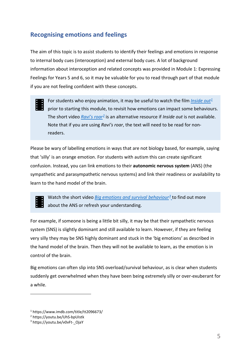## <span id="page-4-0"></span>**Recognising emotions and feelings**

The aim of this topic is to assist students to identify their feelings and emotions in response to internal body cues (interoception) and external body cues. A lot of background information about interoception and related concepts was provided in Module 1: Expressing Feelings for Years 5 and 6, so it may be valuable for you to read through part of that module if you are not feeling confident with these concepts.

For students who enjoy animation, it may be useful to watch the film *[Inside out](https://www.imdb.com/title/tt2096673/)[1](#page-4-1)* prior to starting this module, to revisit how emotions can impact some behaviours. The short video *[Ravi's roar](https://youtu.be/UhS-bpUIstk)[2](#page-4-2)* is an alternative resource if *Inside out* is not available. Note that if you are using *Ravi's roar*, the text will need to be read for nonreaders.

Please be wary of labelling emotions in ways that are not biology based, for example, saying that 'silly' is an orange emotion. For students with autism this can create significant confusion. Instead, you can link emotions to their **autonomic nervous system** (ANS) (the sympathetic and parasympathetic nervous systems) and link their readiness or availability to learn to the hand model of the brain.

Watch the short video *Big emotions [and survival behaviour](https://youtu.be/v0vFt-_OjaY)[3](#page-4-3)* to find out more about the ANS or refresh your understanding.

For example, if someone is being a little bit silly, it may be that their sympathetic nervous system (SNS) is slightly dominant and still available to learn. However, if they are feeling very silly they may be SNS highly dominant and stuck in the 'big emotions' as described in the hand model of the brain. Then they will not be available to learn, as the emotion is in control of the brain.

Big emotions can often slip into SNS overload/survival behaviour, as is clear when students suddenly get overwhelmed when they have been being extremely silly or over-exuberant for a while.

-

<span id="page-4-1"></span><sup>1</sup> https://www.imdb.com/title/tt2096673/

<span id="page-4-2"></span><sup>2</sup> https://youtu.be/UhS-bpUIstk

<span id="page-4-3"></span><sup>&</sup>lt;sup>3</sup> https://voutu.be/v0vFt-\_OjaY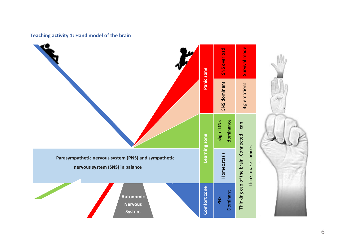#### **Teaching activity 1: Hand model of the brain**

<span id="page-5-0"></span>

6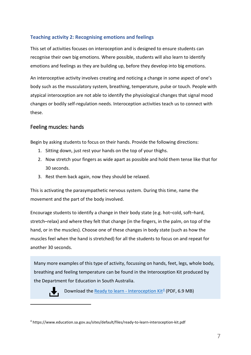#### <span id="page-6-0"></span>**Teaching activity 2: Recognising emotions and feelings**

This set of activities focuses on interoception and is designed to ensure students can recognise their own big emotions. Where possible, students will also learn to identify emotions and feelings as they are building up, before they develop into big emotions.

An interoceptive activity involves creating and noticing a change in some aspect of one's body such as the musculatory system, breathing, temperature, pulse or touch. People with atypical interoception are not able to identify the physiological changes that signal mood changes or bodily self-regulation needs. Interoception activities teach us to connect with these.

## Feeling muscles: hands

Begin by asking students to focus on their hands. Provide the following directions:

- 1. Sitting down, just rest your hands on the top of your thighs.
- 2. Now stretch your fingers as wide apart as possible and hold them tense like that for 30 seconds.
- 3. Rest them back again, now they should be relaxed.

This is activating the parasympathetic nervous system. During this time, name the movement and the part of the body involved.

Encourage students to identify a change in their body state (e.g. hot–cold, soft–hard, stretch–relax) and where they felt that change (in the fingers, in the palm, on top of the hand, or in the muscles). Choose one of these changes in body state (such as how the muscles feel when the hand is stretched) for all the students to focus on and repeat for another 30 seconds.

Many more examples of this type of activity, focussing on hands, feet, legs, whole body, breathing and feeling temperature can be found in the Interoception Kit produced by the Department for Education in South Australia.



-

Download the [Ready to learn - Interoception Kit](https://www.education.sa.gov.au/sites/default/files/ready-to-learn-interoception-kit.pdf) $4$  (PDF, 6.9 MB)

<span id="page-6-1"></span><sup>4</sup> https://www.education.sa.gov.au/sites/default/files/ready-to-learn-interoception-kit.pdf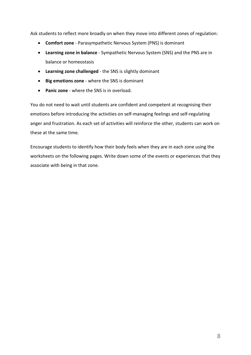Ask students to reflect more broadly on when they move into different zones of regulation:

- **Comfort zone** Parasympathetic Nervous System (PNS) is dominant
- **Learning zone in balance** Sympathetic Nervous System (SNS) and the PNS are in balance or homeostasis
- **Learning zone challenged**  the SNS is slightly dominant
- **Big emotions zone** where the SNS is dominant
- **Panic zone** where the SNS is in overload.

You do not need to wait until students are confident and competent at recognising their emotions before introducing the activities on self-managing feelings and self-regulating anger and frustration. As each set of activities will reinforce the other, students can work on these at the same time.

Encourage students to identify how their body feels when they are in each zone using the worksheets on the following pages. Write down some of the events or experiences that they associate with being in that zone.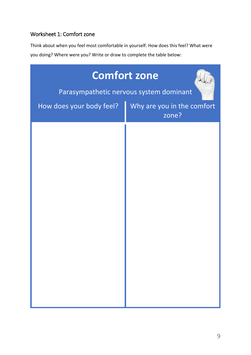## Worksheet 1: Comfort zone

Think about when you feel most comfortable in yourself. How does this feel? What were you doing? Where were you? Write or draw to complete the table below:

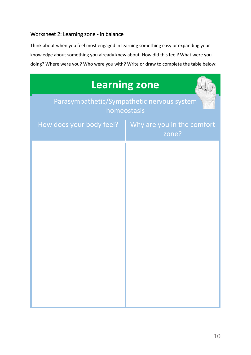## Worksheet 2: Learning zone - in balance

Think about when you feel most engaged in learning something easy or expanding your knowledge about something you already knew about. How did this feel? What were you doing? Where were you? Who were you with? Write or draw to complete the table below:

|                          | <b>Learning zone</b>                                      |
|--------------------------|-----------------------------------------------------------|
|                          | Parasympathetic/Sympathetic nervous system<br>homeostasis |
| How does your body feel? | Why are you in the comfort<br>zone?                       |
|                          |                                                           |
|                          |                                                           |
|                          |                                                           |
|                          |                                                           |
|                          |                                                           |
|                          |                                                           |
|                          |                                                           |
|                          |                                                           |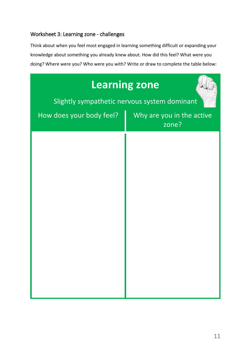## Worksheet 3: Learning zone - challenges

Think about when you feel most engaged in learning something difficult or expanding your knowledge about something you already knew about. How did this feel? What were you doing? Where were you? Who were you with? Write or draw to complete the table below:

| <b>Learning zone</b><br>Slightly sympathetic nervous system dominant |                                    |
|----------------------------------------------------------------------|------------------------------------|
| How does your body feel?                                             | Why are you in the active<br>zone? |
|                                                                      |                                    |
|                                                                      |                                    |
|                                                                      |                                    |
|                                                                      |                                    |
|                                                                      |                                    |
|                                                                      |                                    |
|                                                                      |                                    |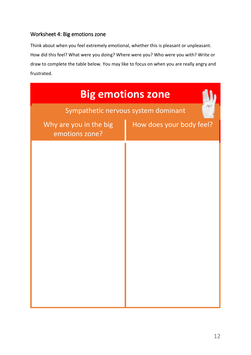# Worksheet 4: Big emotions zone

Think about when you feel extremely emotional, whether this is pleasant or unpleasant. How did this feel? What were you doing? Where were you? Who were you with? Write or draw to complete the table below. You may like to focus on when you are really angry and frustrated.

| <b>Big emotions zone</b>                 |                                     |  |
|------------------------------------------|-------------------------------------|--|
|                                          | Sympathetic nervous system dominant |  |
| Why are you in the big<br>emotions zone? | How does your body feel?            |  |
|                                          |                                     |  |
|                                          |                                     |  |
|                                          |                                     |  |
|                                          |                                     |  |
|                                          |                                     |  |
|                                          |                                     |  |
|                                          |                                     |  |
|                                          |                                     |  |
|                                          |                                     |  |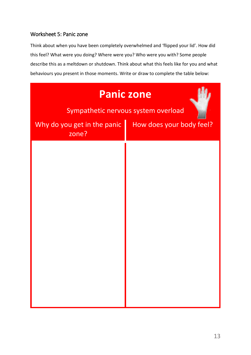## Worksheet 5: Panic zone

Think about when you have been completely overwhelmed and 'flipped your lid'. How did this feel? What were you doing? Where were you? Who were you with? Some people describe this as a meltdown or shutdown. Think about what this feels like for you and what behaviours you present in those moments. Write or draw to complete the table below:

| <b>Panic zone</b><br>Sympathetic nervous system overload |                          |  |
|----------------------------------------------------------|--------------------------|--|
| Why do you get in the panic<br>zone?                     | How does your body feel? |  |
|                                                          |                          |  |
|                                                          |                          |  |
|                                                          |                          |  |
|                                                          |                          |  |
|                                                          |                          |  |
|                                                          |                          |  |
|                                                          |                          |  |
|                                                          |                          |  |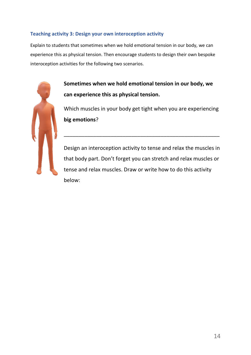#### <span id="page-13-0"></span>**Teaching activity 3: Design your own interoception activity**

Explain to students that sometimes when we hold emotional tension in our body, we can experience this as physical tension. Then encourage students to design their own bespoke interoception activities for the following two scenarios.



**Sometimes when we hold emotional tension in our body, we can experience this as physical tension.**

Which muscles in your body get tight when you are experiencing **big emotions**?

\_\_\_\_\_\_\_\_\_\_\_\_\_\_\_\_\_\_\_\_\_\_\_\_\_\_\_\_\_\_\_\_\_\_\_\_\_\_\_\_\_\_\_\_\_\_\_\_\_\_\_\_\_

Design an interoception activity to tense and relax the muscles in that body part. Don't forget you can stretch and relax muscles or tense and relax muscles. Draw or write how to do this activity below: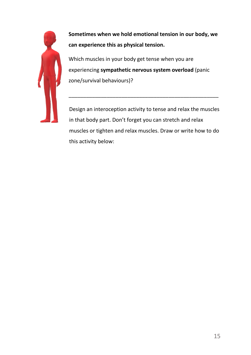

**Sometimes when we hold emotional tension in our body, we can experience this as physical tension.**

Which muscles in your body get tense when you are experiencing **sympathetic nervous system overload** (panic zone/survival behaviours)?

Design an interoception activity to tense and relax the muscles in that body part. Don't forget you can stretch and relax muscles or tighten and relax muscles. Draw or write how to do this activity below:

\_\_\_\_\_\_\_\_\_\_\_\_\_\_\_\_\_\_\_\_\_\_\_\_\_\_\_\_\_\_\_\_\_\_\_\_\_\_\_\_\_\_\_\_\_\_\_\_\_\_\_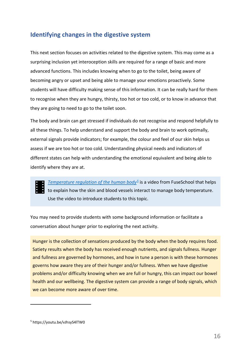## <span id="page-15-0"></span>**Identifying changes in the digestive system**

This next section focuses on activities related to the digestive system. This may come as a surprising inclusion yet interoception skills are required for a range of basic and more advanced functions. This includes knowing when to go to the toilet, being aware of becoming angry or upset and being able to manage your emotions proactively. Some students will have difficulty making sense of this information. It can be really hard for them to recognise when they are hungry, thirsty, too hot or too cold, or to know in advance that they are going to need to go to the toilet soon.

The body and brain can get stressed if individuals do not recognise and respond helpfully to all these things. To help understand and support the body and brain to work optimally, external signals provide indicators; for example, the colour and feel of our skin helps us assess if we are too hot or too cold. Understanding physical needs and indicators of different states can help with understanding the emotional equivalent and being able to identify where they are at.

*[Temperature regulation of the human body](https://youtu.be/vJhsyS4lTW0)[5](#page-15-1)* is a video from FuseSchool that helps to explain how the skin and blood vessels interact to manage body temperature. Use the video to introduce students to this topic.

You may need to provide students with some background information or facilitate a conversation about hunger prior to exploring the next activity.

Hunger is the collection of sensations produced by the body when the body requires food. Satiety results when the body has received enough nutrients, and signals fullness. Hunger and fullness are governed by hormones, and how in tune a person is with these hormones governs how aware they are of their hunger and/or fullness. When we have digestive problems and/or difficulty knowing when we are full or hungry, this can impact our bowel health and our wellbeing. The digestive system can provide a range of body signals, which we can become more aware of over time.

-

<span id="page-15-1"></span><sup>5</sup> https://youtu.be/vJhsyS4lTW0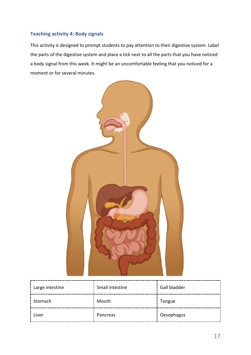#### <span id="page-16-0"></span>**Teaching activity 4: Body signals**

This activity is designed to prompt students to pay attention to their digestive system. Label the parts of the digestive system and place a tick next to all the parts that you have noticed a body signal from this week. It might be an uncomfortable feeling that you noticed for a moment or for several minutes.



| Large intestine | Small intestine | Gall bladder |  |
|-----------------|-----------------|--------------|--|
| Stomach         | Mouth           | Tongue       |  |
| Liver           | Pancreas        | Oesophagus   |  |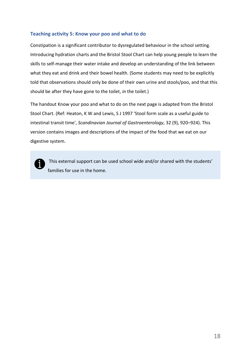#### <span id="page-17-0"></span>**Teaching activity 5: Know your poo and what to do**

Constipation is a significant contributor to dysregulated behaviour in the school setting. Introducing hydration charts and the Bristol Stool Chart can help young people to learn the skills to self-manage their water intake and develop an understanding of the link between what they eat and drink and their bowel health. (Some students may need to be explicitly told that observations should only be done of their own urine and stools/poo, and that this should be after they have gone to the toilet, *in* the toilet.)

The handout Know your poo and what to do on the next page is adapted from the Bristol Stool Chart. (Ref: Heaton, K W and Lewis, S J 1997 'Stool form scale as a useful guide to intestinal transit time', *Scandinavian Journal of Gastroenterology*, 32 (9), 920–924). This version contains images and descriptions of the impact of the food that we eat on our digestive system.



This external support can be used school wide and/or shared with the students' families for use in the home.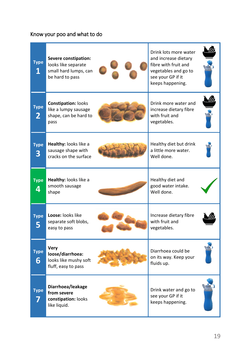## Know your poo and what to do

| <b>Type</b><br>1            | <b>Severe constipation:</b><br>looks like separate<br>small hard lumps, can<br>be hard to pass | Drink lots more water<br>and increase dietary<br>fibre with fruit and<br>vegetables and go to<br>see your GP if it<br>keeps happening. |  |
|-----------------------------|------------------------------------------------------------------------------------------------|----------------------------------------------------------------------------------------------------------------------------------------|--|
| <b>Type</b><br>$\mathbf{2}$ | <b>Constipation: looks</b><br>like a lumpy sausage<br>shape, can be hard to<br>pass            | Drink more water and<br>increase dietary fibre<br>with fruit and<br>vegetables.                                                        |  |
| <b>Type</b><br>3            | Healthy: looks like a<br>sausage shape with<br>cracks on the surface                           | Healthy diet but drink<br>a little more water.<br>Well done.                                                                           |  |
| <b>Type</b><br>4            | Healthy: looks like a<br>smooth sausage<br>shape                                               | Healthy diet and<br>good water intake.<br>Well done.                                                                                   |  |
| <b>Type</b>                 | Loose: looks like<br>separate soft blobs,<br>easy to pass                                      | Increase dietary fibre<br>with fruit and<br>vegetables.                                                                                |  |
| <b>Type</b><br>6            | <b>Very</b><br>loose/diarrhoea:<br>looks like mushy soft<br>fluff, easy to pass                | Diarrhoea could be<br>on its way. Keep your<br>fluids up.                                                                              |  |
| <b>Type</b>                 | Diarrhoea/leakage<br>from severe<br>constipation: looks<br>like liquid.                        | Drink water and go to<br>see your GP if it<br>keeps happening.                                                                         |  |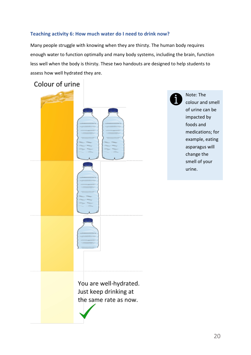#### <span id="page-19-0"></span>**Teaching activity 6: How much water do I need to drink now?**

Many people struggle with knowing when they are thirsty. The human body requires enough water to function optimally and many body systems, including the brain, function less well when the body is thirsty. These two handouts are designed to help students to assess how well hydrated they are.

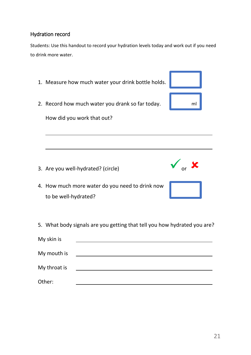## Hydration record

Students: Use this handout to record your hydration levels today and work out if you need to drink more water.

1. Measure how much water your drink bottle holds. 2. Record how much water you drank so far today.  $\blacksquare$  ml How did you work that out?  $\overline{a}$ 3. Are you well-hydrated? (circle)  $\bullet$  or  $\bullet$ 4. How much more water do you need to drink now to be well-hydrated? 5. What body signals are you getting that tell you how hydrated you are?

| My skin is   |  |  |
|--------------|--|--|
| My mouth is  |  |  |
| My throat is |  |  |
| Other:       |  |  |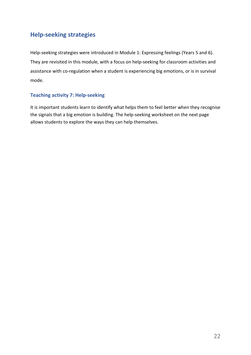## <span id="page-21-0"></span>**Help-seeking strategies**

Help-seeking strategies were introduced in Module 1: Expressing feelings (Years 5 and 6). They are revisited in this module, with a focus on help-seeking for classroom activities and assistance with co-regulation when a student is experiencing big emotions, or is in survival mode.

#### <span id="page-21-1"></span>**Teaching activity 7: Help-seeking**

It is important students learn to identify what helps them to feel better when they recognise the signals that a big emotion is building. The help-seeking worksheet on the next page allows students to explore the ways they can help themselves.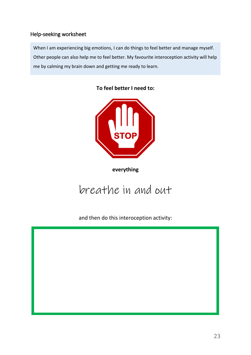## Help-seeking worksheet

When I am experiencing big emotions, I can do things to feel better and manage myself. Other people can also help me to feel better. My favourite interoception activity will help me by calming my brain down and getting me ready to learn.





**everything**

# breathe in and out

and then do this interoception activity:

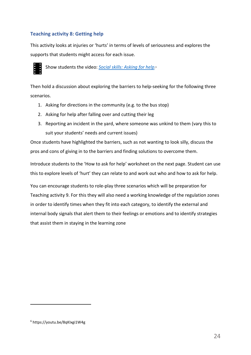## <span id="page-23-0"></span>**Teaching activity 8: Getting help**

This activity looks at injuries or 'hurts' in terms of levels of seriousness and explores the supports that students might access for each issue.



Show students the video: *[Social skills: Asking for help](https://youtu.be/8qKIxgi1W4g)*.[6](#page-23-1) 

Then hold a discussion about exploring the barriers to help-seeking for the following three scenarios.

- 1. Asking for directions in the community (e.g. to the bus stop)
- 2. Asking for help after falling over and cutting their leg
- 3. Reporting an incident in the yard, where someone was unkind to them (vary this to suit your students' needs and current issues)

Once students have highlighted the barriers, such as not wanting to look silly, discuss the pros and cons of giving in to the barriers and finding solutions to overcome them.

Introduce students to the 'How to ask for help' worksheet on the next page. Student can use this to explore levels of 'hurt' they can relate to and work out who and how to ask for help.

You can encourage students to role-play three scenarios which will be preparation for Teaching activity 9. For this they will also need a working knowledge of the regulation zones in order to identify times when they fit into each category, to identify the external and internal body signals that alert them to their feelings or emotions and to identify strategies that assist them in staying in the learning zone

-

<span id="page-23-1"></span><sup>6</sup> https://youtu.be/8qKIxgi1W4g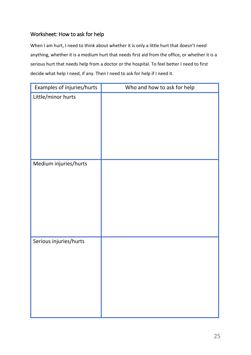## Worksheet: How to ask for help

When I am hurt, I need to think about whether it is only a little hurt that doesn't need anything, whether it is a medium hurt that needs first aid from the office, or whether it is a serious hurt that needs help from a doctor or the hospital. To feel better I need to first decide what help I need, if any. Then I need to ask for help if I need it.

| Examples of injuries/hurts | Who and how to ask for help |
|----------------------------|-----------------------------|
| Little/minor hurts         |                             |
| Medium injuries/hurts      |                             |
| Serious injuries/hurts     |                             |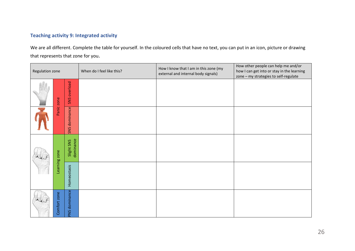## **Teaching activity 9: Integrated activity**

We are all different. Complete the table for yourself. In the coloured cells that have no text, you can put in an icon, picture or drawing that represents that zone for you.

<span id="page-25-0"></span>

| Regulation zone |               |                         | When do I feel like this? | How I know that I am in this zone (my<br>external and internal body signals) | How other people can help me and/or<br>how I can get into or stay in the learning<br>zone - my strategies to self-regulate |
|-----------------|---------------|-------------------------|---------------------------|------------------------------------------------------------------------------|----------------------------------------------------------------------------------------------------------------------------|
|                 | Panic zone    | SNS overload            |                           |                                                                              |                                                                                                                            |
|                 |               | SNS dominance           |                           |                                                                              |                                                                                                                            |
|                 | Learning zone | dominance<br>Slight SNS |                           |                                                                              |                                                                                                                            |
|                 |               | Homeostasis             |                           |                                                                              |                                                                                                                            |
|                 | Comfort zone  | PNS dominance           |                           |                                                                              |                                                                                                                            |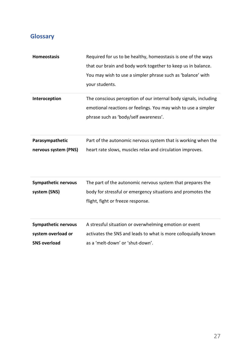# <span id="page-26-0"></span>**Glossary**

| <b>Homeostasis</b>                               | Required for us to be healthy, homeostasis is one of the ways<br>that our brain and body work together to keep us in balance.<br>You may wish to use a simpler phrase such as 'balance' with<br>your students. |
|--------------------------------------------------|----------------------------------------------------------------------------------------------------------------------------------------------------------------------------------------------------------------|
| Interoception                                    | The conscious perception of our internal body signals, including<br>emotional reactions or feelings. You may wish to use a simpler<br>phrase such as 'body/self awareness'.                                    |
| Parasympathetic<br>nervous system (PNS)          | Part of the autonomic nervous system that is working when the<br>heart rate slows, muscles relax and circulation improves.                                                                                     |
| <b>Sympathetic nervous</b><br>system (SNS)       | The part of the autonomic nervous system that prepares the<br>body for stressful or emergency situations and promotes the<br>flight, fight or freeze response.                                                 |
| <b>Sympathetic nervous</b><br>system overload or | A stressful situation or overwhelming emotion or event<br>activates the SNS and leads to what is more colloquially known                                                                                       |

**SNS overload** as a 'melt-down' or 'shut-down'.